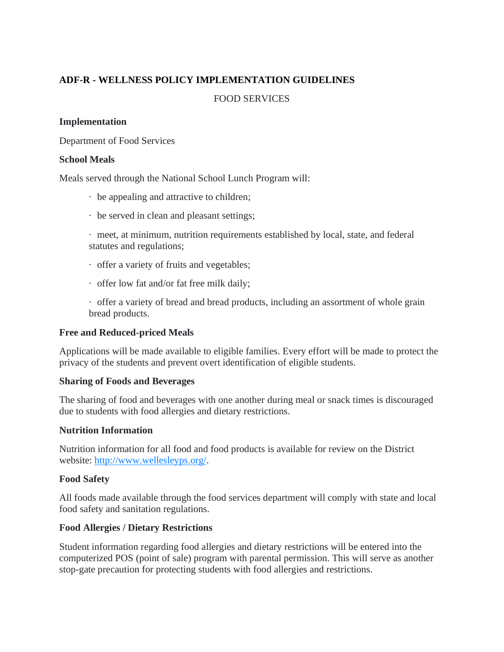# **ADF-R - WELLNESS POLICY IMPLEMENTATION GUIDELINES**

### FOOD SERVICES

### **Implementation**

Department of Food Services

### **School Meals**

Meals served through the National School Lunch Program will:

- · be appealing and attractive to children;
- · be served in clean and pleasant settings;
- · meet, at minimum, nutrition requirements established by local, state, and federal statutes and regulations;
- · offer a variety of fruits and vegetables;
- · offer low fat and/or fat free milk daily;

· offer a variety of bread and bread products, including an assortment of whole grain bread products.

### **Free and Reduced-priced Meals**

Applications will be made available to eligible families. Every effort will be made to protect the privacy of the students and prevent overt identification of eligible students.

### **Sharing of Foods and Beverages**

The sharing of food and beverages with one another during meal or snack times is discouraged due to students with food allergies and dietary restrictions.

### **Nutrition Information**

Nutrition information for all food and food products is available for review on the District website: [http://www.wellesleyps.org/.](http://www.wellesleyps.org/)

### **Food Safety**

All foods made available through the food services department will comply with state and local food safety and sanitation regulations.

# **Food Allergies / Dietary Restrictions**

Student information regarding food allergies and dietary restrictions will be entered into the computerized POS (point of sale) program with parental permission. This will serve as another stop-gate precaution for protecting students with food allergies and restrictions.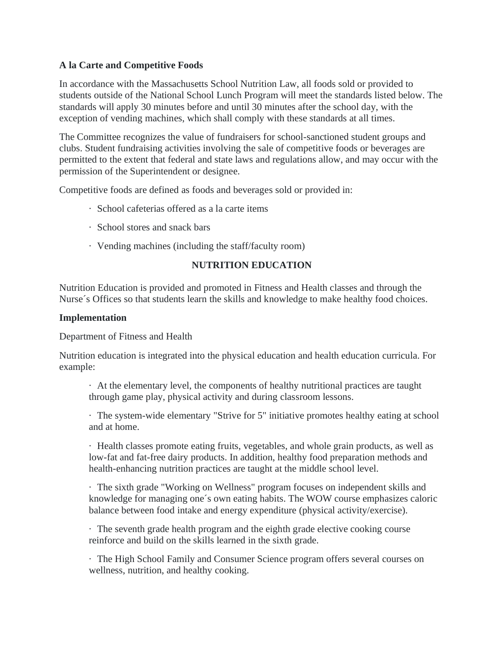# **A la Carte and Competitive Foods**

In accordance with the Massachusetts School Nutrition Law, all foods sold or provided to students outside of the National School Lunch Program will meet the standards listed below. The standards will apply 30 minutes before and until 30 minutes after the school day, with the exception of vending machines, which shall comply with these standards at all times.

The Committee recognizes the value of fundraisers for school-sanctioned student groups and clubs. Student fundraising activities involving the sale of competitive foods or beverages are permitted to the extent that federal and state laws and regulations allow, and may occur with the permission of the Superintendent or designee.

Competitive foods are defined as foods and beverages sold or provided in:

- · School cafeterias offered as a la carte items
- · School stores and snack bars
- · Vending machines (including the staff/faculty room)

### **NUTRITION EDUCATION**

Nutrition Education is provided and promoted in Fitness and Health classes and through the Nurse´s Offices so that students learn the skills and knowledge to make healthy food choices.

#### **Implementation**

Department of Fitness and Health

Nutrition education is integrated into the physical education and health education curricula. For example:

· At the elementary level, the components of healthy nutritional practices are taught through game play, physical activity and during classroom lessons.

· The system-wide elementary "Strive for 5" initiative promotes healthy eating at school and at home.

· Health classes promote eating fruits, vegetables, and whole grain products, as well as low-fat and fat-free dairy products. In addition, healthy food preparation methods and health-enhancing nutrition practices are taught at the middle school level.

· The sixth grade "Working on Wellness" program focuses on independent skills and knowledge for managing one´s own eating habits. The WOW course emphasizes caloric balance between food intake and energy expenditure (physical activity/exercise).

· The seventh grade health program and the eighth grade elective cooking course reinforce and build on the skills learned in the sixth grade.

· The High School Family and Consumer Science program offers several courses on wellness, nutrition, and healthy cooking.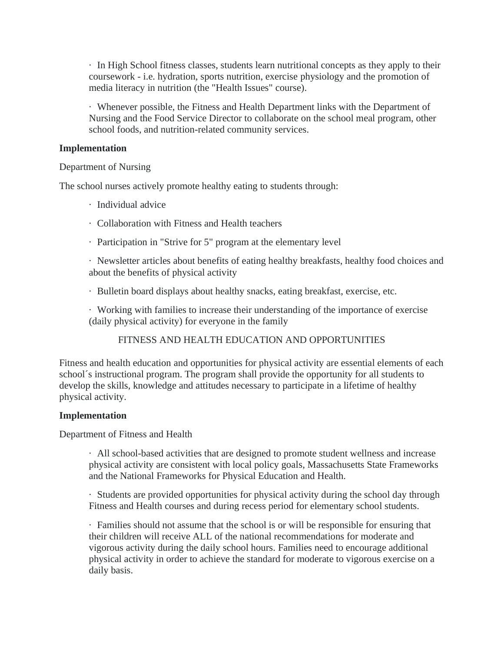· In High School fitness classes, students learn nutritional concepts as they apply to their coursework - i.e. hydration, sports nutrition, exercise physiology and the promotion of media literacy in nutrition (the "Health Issues" course).

· Whenever possible, the Fitness and Health Department links with the Department of Nursing and the Food Service Director to collaborate on the school meal program, other school foods, and nutrition-related community services.

### **Implementation**

### Department of Nursing

The school nurses actively promote healthy eating to students through:

- · Individual advice
- · Collaboration with Fitness and Health teachers
- · Participation in "Strive for 5" program at the elementary level

· Newsletter articles about benefits of eating healthy breakfasts, healthy food choices and about the benefits of physical activity

· Bulletin board displays about healthy snacks, eating breakfast, exercise, etc.

· Working with families to increase their understanding of the importance of exercise (daily physical activity) for everyone in the family

# FITNESS AND HEALTH EDUCATION AND OPPORTUNITIES

Fitness and health education and opportunities for physical activity are essential elements of each school´s instructional program. The program shall provide the opportunity for all students to develop the skills, knowledge and attitudes necessary to participate in a lifetime of healthy physical activity.

### **Implementation**

Department of Fitness and Health

· All school-based activities that are designed to promote student wellness and increase physical activity are consistent with local policy goals, Massachusetts State Frameworks and the National Frameworks for Physical Education and Health.

· Students are provided opportunities for physical activity during the school day through Fitness and Health courses and during recess period for elementary school students.

· Families should not assume that the school is or will be responsible for ensuring that their children will receive ALL of the national recommendations for moderate and vigorous activity during the daily school hours. Families need to encourage additional physical activity in order to achieve the standard for moderate to vigorous exercise on a daily basis.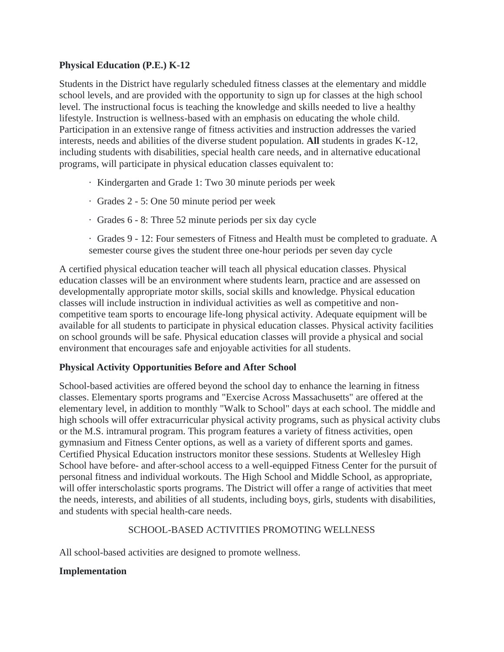# **Physical Education (P.E.) K-12**

Students in the District have regularly scheduled fitness classes at the elementary and middle school levels, and are provided with the opportunity to sign up for classes at the high school level. The instructional focus is teaching the knowledge and skills needed to live a healthy lifestyle. Instruction is wellness-based with an emphasis on educating the whole child. Participation in an extensive range of fitness activities and instruction addresses the varied interests, needs and abilities of the diverse student population. **All** students in grades K-12, including students with disabilities, special health care needs, and in alternative educational programs, will participate in physical education classes equivalent to:

- · Kindergarten and Grade 1: Two 30 minute periods per week
- · Grades 2 5: One 50 minute period per week
- · Grades 6 8: Three 52 minute periods per six day cycle
- · Grades 9 12: Four semesters of Fitness and Health must be completed to graduate. A semester course gives the student three one-hour periods per seven day cycle

A certified physical education teacher will teach all physical education classes. Physical education classes will be an environment where students learn, practice and are assessed on developmentally appropriate motor skills, social skills and knowledge. Physical education classes will include instruction in individual activities as well as competitive and noncompetitive team sports to encourage life-long physical activity. Adequate equipment will be available for all students to participate in physical education classes. Physical activity facilities on school grounds will be safe. Physical education classes will provide a physical and social environment that encourages safe and enjoyable activities for all students.

# **Physical Activity Opportunities Before and After School**

School-based activities are offered beyond the school day to enhance the learning in fitness classes. Elementary sports programs and "Exercise Across Massachusetts" are offered at the elementary level, in addition to monthly "Walk to School" days at each school. The middle and high schools will offer extracurricular physical activity programs, such as physical activity clubs or the M.S. intramural program. This program features a variety of fitness activities, open gymnasium and Fitness Center options, as well as a variety of different sports and games. Certified Physical Education instructors monitor these sessions. Students at Wellesley High School have before- and after-school access to a well-equipped Fitness Center for the pursuit of personal fitness and individual workouts. The High School and Middle School, as appropriate, will offer interscholastic sports programs. The District will offer a range of activities that meet the needs, interests, and abilities of all students, including boys, girls, students with disabilities, and students with special health-care needs.

# SCHOOL-BASED ACTIVITIES PROMOTING WELLNESS

All school-based activities are designed to promote wellness.

# **Implementation**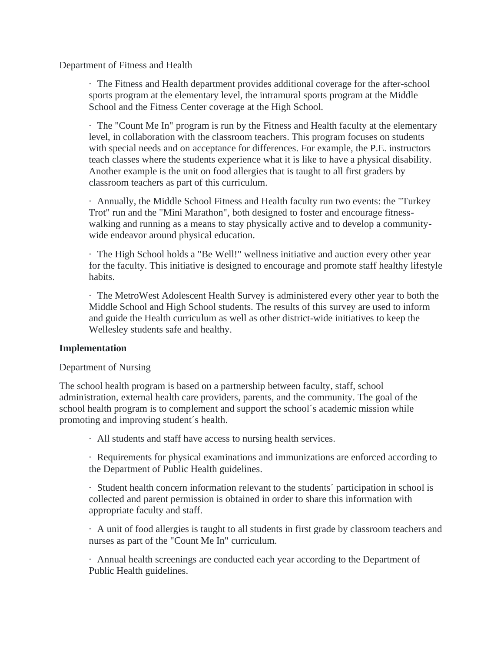Department of Fitness and Health

· The Fitness and Health department provides additional coverage for the after-school sports program at the elementary level, the intramural sports program at the Middle School and the Fitness Center coverage at the High School.

· The "Count Me In" program is run by the Fitness and Health faculty at the elementary level, in collaboration with the classroom teachers. This program focuses on students with special needs and on acceptance for differences. For example, the P.E. instructors teach classes where the students experience what it is like to have a physical disability. Another example is the unit on food allergies that is taught to all first graders by classroom teachers as part of this curriculum.

· Annually, the Middle School Fitness and Health faculty run two events: the "Turkey Trot" run and the "Mini Marathon", both designed to foster and encourage fitnesswalking and running as a means to stay physically active and to develop a communitywide endeavor around physical education.

· The High School holds a "Be Well!" wellness initiative and auction every other year for the faculty. This initiative is designed to encourage and promote staff healthy lifestyle habits.

· The MetroWest Adolescent Health Survey is administered every other year to both the Middle School and High School students. The results of this survey are used to inform and guide the Health curriculum as well as other district-wide initiatives to keep the Wellesley students safe and healthy.

### **Implementation**

### Department of Nursing

The school health program is based on a partnership between faculty, staff, school administration, external health care providers, parents, and the community. The goal of the school health program is to complement and support the school´s academic mission while promoting and improving student´s health.

· All students and staff have access to nursing health services.

· Requirements for physical examinations and immunizations are enforced according to the Department of Public Health guidelines.

· Student health concern information relevant to the students´ participation in school is collected and parent permission is obtained in order to share this information with appropriate faculty and staff.

· A unit of food allergies is taught to all students in first grade by classroom teachers and nurses as part of the "Count Me In" curriculum.

· Annual health screenings are conducted each year according to the Department of Public Health guidelines.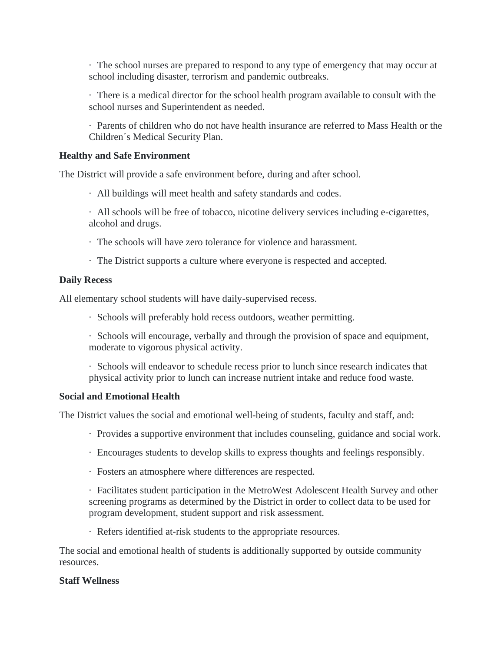· The school nurses are prepared to respond to any type of emergency that may occur at school including disaster, terrorism and pandemic outbreaks.

· There is a medical director for the school health program available to consult with the school nurses and Superintendent as needed.

· Parents of children who do not have health insurance are referred to Mass Health or the Children´s Medical Security Plan.

### **Healthy and Safe Environment**

The District will provide a safe environment before, during and after school.

- · All buildings will meet health and safety standards and codes.
- · All schools will be free of tobacco, nicotine delivery services including e-cigarettes, alcohol and drugs.
- · The schools will have zero tolerance for violence and harassment.
- · The District supports a culture where everyone is respected and accepted.

### **Daily Recess**

All elementary school students will have daily-supervised recess.

· Schools will preferably hold recess outdoors, weather permitting.

· Schools will encourage, verbally and through the provision of space and equipment, moderate to vigorous physical activity.

· Schools will endeavor to schedule recess prior to lunch since research indicates that physical activity prior to lunch can increase nutrient intake and reduce food waste.

### **Social and Emotional Health**

The District values the social and emotional well-being of students, faculty and staff, and:

- · Provides a supportive environment that includes counseling, guidance and social work.
- · Encourages students to develop skills to express thoughts and feelings responsibly.
- · Fosters an atmosphere where differences are respected.

· Facilitates student participation in the MetroWest Adolescent Health Survey and other screening programs as determined by the District in order to collect data to be used for program development, student support and risk assessment.

· Refers identified at-risk students to the appropriate resources.

The social and emotional health of students is additionally supported by outside community resources.

### **Staff Wellness**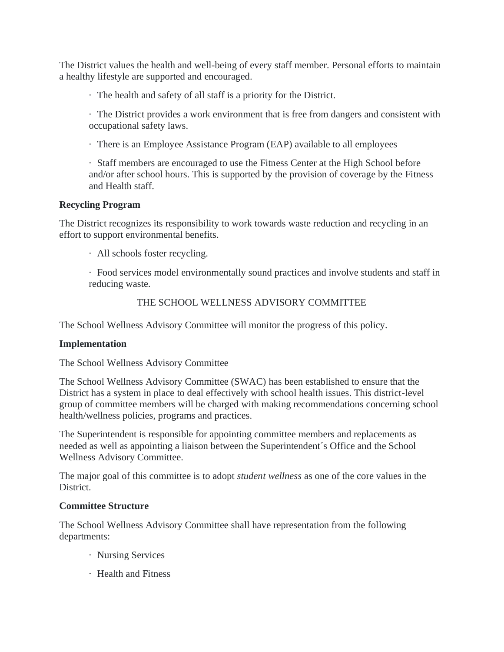The District values the health and well-being of every staff member. Personal efforts to maintain a healthy lifestyle are supported and encouraged.

· The health and safety of all staff is a priority for the District.

· The District provides a work environment that is free from dangers and consistent with occupational safety laws.

· There is an Employee Assistance Program (EAP) available to all employees

· Staff members are encouraged to use the Fitness Center at the High School before and/or after school hours. This is supported by the provision of coverage by the Fitness and Health staff.

### **Recycling Program**

The District recognizes its responsibility to work towards waste reduction and recycling in an effort to support environmental benefits.

· All schools foster recycling.

· Food services model environmentally sound practices and involve students and staff in reducing waste.

### THE SCHOOL WELLNESS ADVISORY COMMITTEE

The School Wellness Advisory Committee will monitor the progress of this policy.

### **Implementation**

The School Wellness Advisory Committee

The School Wellness Advisory Committee (SWAC) has been established to ensure that the District has a system in place to deal effectively with school health issues. This district-level group of committee members will be charged with making recommendations concerning school health/wellness policies, programs and practices.

The Superintendent is responsible for appointing committee members and replacements as needed as well as appointing a liaison between the Superintendent´s Office and the School Wellness Advisory Committee.

The major goal of this committee is to adopt *student wellness* as one of the core values in the District.

### **Committee Structure**

The School Wellness Advisory Committee shall have representation from the following departments:

- · Nursing Services
- · Health and Fitness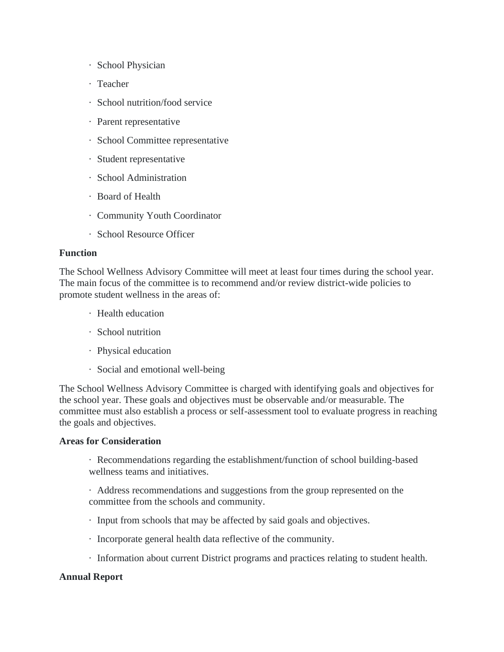- · School Physician
- · Teacher
- · School nutrition/food service
- · Parent representative
- · School Committee representative
- · Student representative
- · School Administration
- · Board of Health
- · Community Youth Coordinator
- · School Resource Officer

#### **Function**

The School Wellness Advisory Committee will meet at least four times during the school year. The main focus of the committee is to recommend and/or review district-wide policies to promote student wellness in the areas of:

- · Health education
- · School nutrition
- · Physical education
- · Social and emotional well-being

The School Wellness Advisory Committee is charged with identifying goals and objectives for the school year. These goals and objectives must be observable and/or measurable. The committee must also establish a process or self-assessment tool to evaluate progress in reaching the goals and objectives.

### **Areas for Consideration**

· Recommendations regarding the establishment/function of school building-based wellness teams and initiatives.

· Address recommendations and suggestions from the group represented on the committee from the schools and community.

- · Input from schools that may be affected by said goals and objectives.
- · Incorporate general health data reflective of the community.
- · Information about current District programs and practices relating to student health.

### **Annual Report**